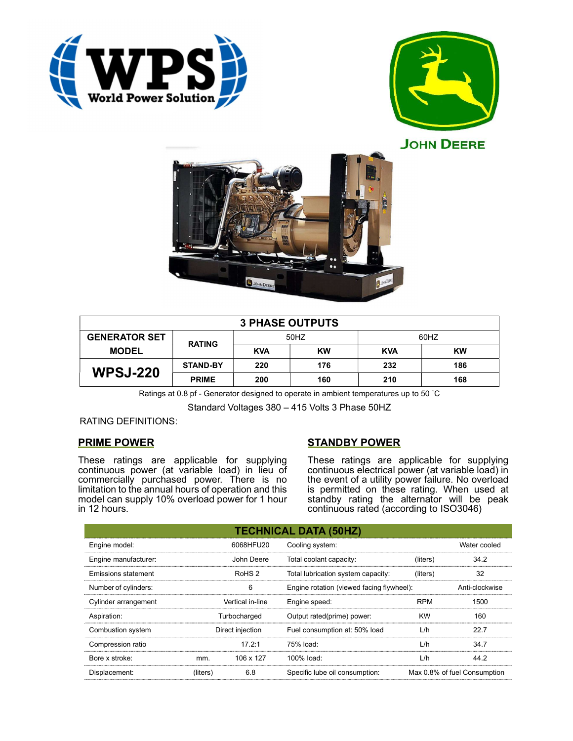





| <b>3 PHASE OUTPUTS</b> |                 |            |           |            |     |  |  |
|------------------------|-----------------|------------|-----------|------------|-----|--|--|
| <b>GENERATOR SET</b>   | <b>RATING</b>   | 50HZ       |           | 60HZ       |     |  |  |
| <b>MODEL</b>           |                 | <b>KVA</b> | <b>KW</b> | <b>KVA</b> | KW  |  |  |
| <b>WPSJ-220</b>        | <b>STAND-BY</b> | 220        | 176       | 232        | 186 |  |  |
|                        | <b>PRIME</b>    | 200        | 160       | 210        | 168 |  |  |

Ratings at 0.8 pf - Generator designed to operate in ambient temperatures up to 50 °C

Standard Voltages 380 – 415 Volts 3 Phase 50HZ

## RATING DEFINITIONS:

## PRIME POWER

These ratings are applicable for supplying continuous power (at variable load) in lieu of commercially purchased power. There is no limitation to the annual hours of operation and this model can supply 10% overload power for 1 hour in 12 hours.

# STANDBY POWER

These ratings are applicable for supplying continuous electrical power (at variable load) in the event of a utility power failure. No overload is permitted on these rating. When used at standby rating the alternator will be peak continuous rated (according to ISO3046)

| <b>TECHNICAL DATA (50HZ)</b> |                   |            |                                           |            |                              |  |  |
|------------------------------|-------------------|------------|-------------------------------------------|------------|------------------------------|--|--|
| Engine model:                |                   | 6068HFU20  | Cooling system:                           |            | Water cooled                 |  |  |
| Engine manufacturer:         |                   | John Deere | Total coolant capacity:                   | (liters)   | 34.2                         |  |  |
| Emissions statement          | RoHS <sub>2</sub> |            | Total lubrication system capacity:        | (liters)   | 32                           |  |  |
| Number of cylinders:         | 6                 |            | Engine rotation (viewed facing flywheel): |            | Anti-clockwise               |  |  |
| Cylinder arrangement         | Vertical in-line  |            | Engine speed:                             | <b>RPM</b> | 1500                         |  |  |
| Aspiration:                  | Turbocharged      |            | Output rated(prime) power:                | <b>KW</b>  | 160                          |  |  |
| Combustion system            | Direct injection  |            | Fuel consumption at: 50% load             | L/h        | 22.7                         |  |  |
| Compression ratio            |                   | 17.2:1     | 75% load:                                 | L/h        | 34.7                         |  |  |
| Bore x stroke:               | mm.               | 106 x 127  | $100\%$ load:                             | L/h        | 44.2                         |  |  |
| Displacement:                | (liters)          | 6.8        | Specific lube oil consumption:            |            | Max 0.8% of fuel Consumption |  |  |